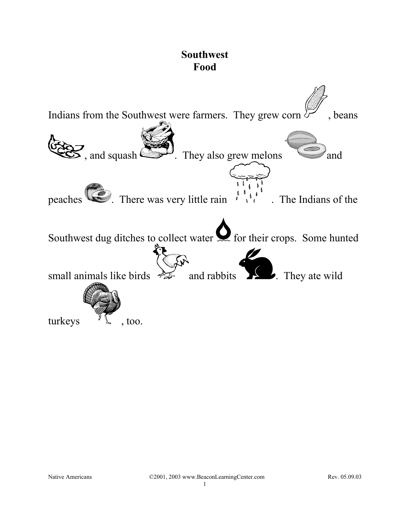## **Southwest Food**

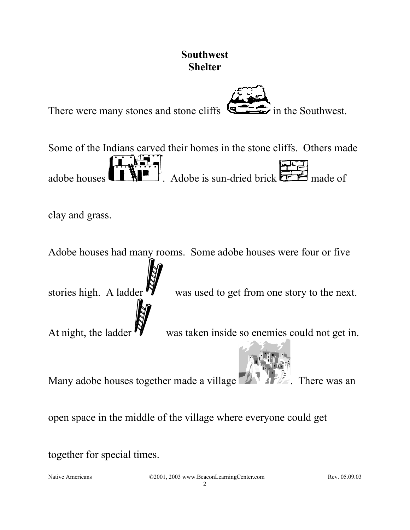

together for special times.

Native Americans C2001, 2003 www.BeaconLearningCenter.com Rev. 05.09.03  $\mathcal{L}$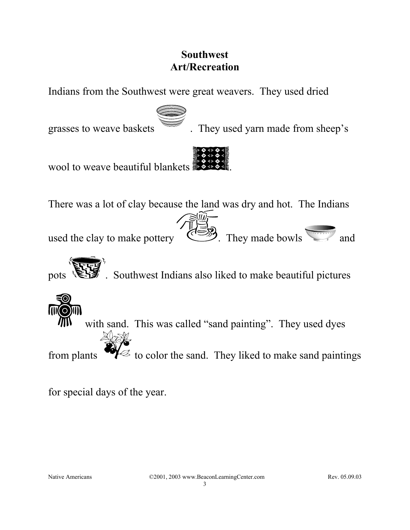## **Southwest Art/Recreation**

Indians from the Southwest were great weavers. They used dried



grasses to weave baskets **in the U.S.** They used yarn made from sheep's



There was a lot of clay because the land was dry and hot. The Indians

used the clay to make pottery . They made bowls and

. Southwest Indians also liked to make beautiful pictures



for special days of the year.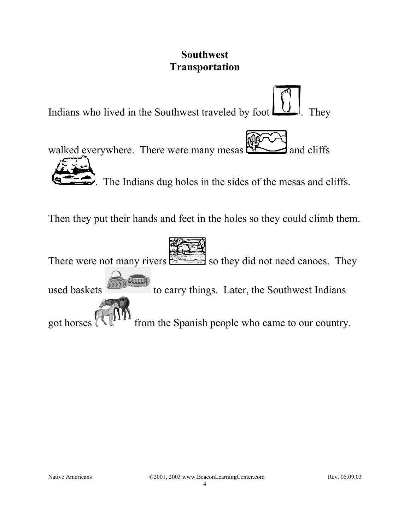## **Southwest Transportation**

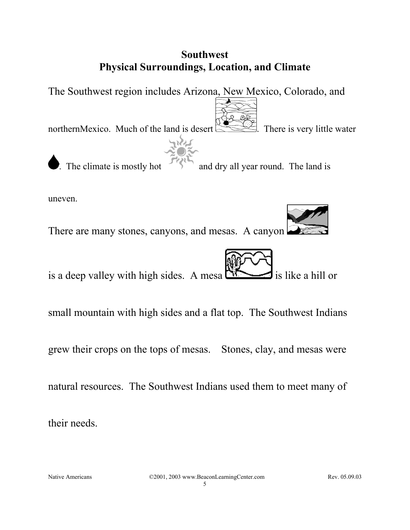## **Southwest Physical Surroundings, Location, and Climate**

The Southwest region includes Arizona, New Mexico, Colorado, and

northernMexico. Much of the land is desert  $\mathbb{R}$ . There is very little water



The climate is mostly hot and dry all year round. The land is

uneven.

There are many stones, canyons, and mesas. A canyon

is a deep valley with high sides. A mesa  $\Box$  is like a hill or

small mountain with high sides and a flat top. The Southwest Indians

grew their crops on the tops of mesas. Stones, clay, and mesas were

natural resources. The Southwest Indians used them to meet many of

their needs.